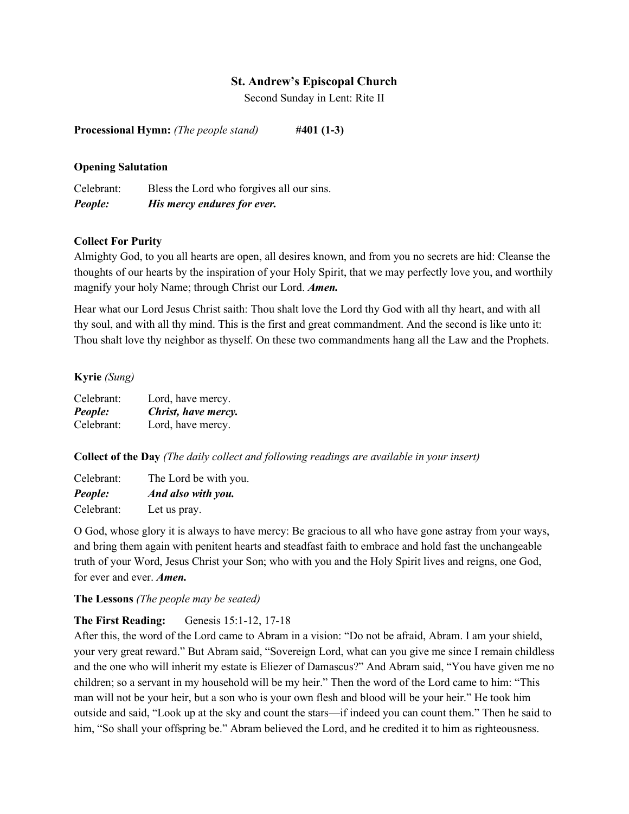## **St. Andrew's Episcopal Church**

Second Sunday in Lent: Rite II

**Processional Hymn:** *(The people stand)* **#401 (1-3)**

#### **Opening Salutation**

Celebrant: Bless the Lord who forgives all our sins. *People: His mercy endures for ever.*

#### **Collect For Purity**

Almighty God, to you all hearts are open, all desires known, and from you no secrets are hid: Cleanse the thoughts of our hearts by the inspiration of your Holy Spirit, that we may perfectly love you, and worthily magnify your holy Name; through Christ our Lord. *Amen.*

Hear what our Lord Jesus Christ saith: Thou shalt love the Lord thy God with all thy heart, and with all thy soul, and with all thy mind. This is the first and great commandment. And the second is like unto it: Thou shalt love thy neighbor as thyself. On these two commandments hang all the Law and the Prophets.

#### **Kyrie** *(Sung)*

| Celebrant: | Lord, have mercy.   |
|------------|---------------------|
| People:    | Christ, have mercy. |
| Celebrant: | Lord, have mercy.   |

**Collect of the Day** *(The daily collect and following readings are available in your insert)*

| Celebrant: | The Lord be with you.<br>And also with you. |  |  |
|------------|---------------------------------------------|--|--|
| People:    |                                             |  |  |
| Celebrant: | Let us pray.                                |  |  |

O God, whose glory it is always to have mercy: Be gracious to all who have gone astray from your ways, and bring them again with penitent hearts and steadfast faith to embrace and hold fast the unchangeable truth of your Word, Jesus Christ your Son; who with you and the Holy Spirit lives and reigns, one God, for ever and ever. *Amen.*

#### **The Lessons** *(The people may be seated)*

#### **The First Reading:** Genesis 15:1-12, 17-18

After this, the word of the Lord came to Abram in a vision: "Do not be afraid, Abram. I am your shield, your very great reward." But Abram said, "Sovereign Lord, what can you give me since I remain childless and the one who will inherit my estate is Eliezer of Damascus?" And Abram said, "You have given me no children; so a servant in my household will be my heir." Then the word of the Lord came to him: "This man will not be your heir, but a son who is your own flesh and blood will be your heir." He took him outside and said, "Look up at the sky and count the stars—if indeed you can count them." Then he said to him, "So shall your offspring be." Abram believed the Lord, and he credited it to him as righteousness.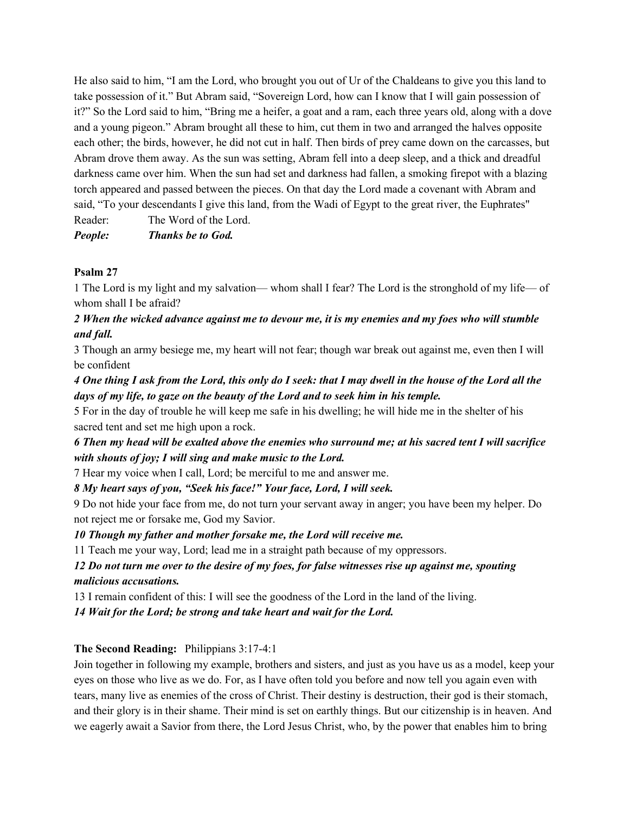He also said to him, "I am the Lord, who brought you out of Ur of the Chaldeans to give you this land to take possession of it." But Abram said, "Sovereign Lord, how can I know that I will gain possession of it?" So the Lord said to him, "Bring me a heifer, a goat and a ram, each three years old, along with a dove and a young pigeon." Abram brought all these to him, cut them in two and arranged the halves opposite each other; the birds, however, he did not cut in half. Then birds of prey came down on the carcasses, but Abram drove them away. As the sun was setting, Abram fell into a deep sleep, and a thick and dreadful darkness came over him. When the sun had set and darkness had fallen, a smoking firepot with a blazing torch appeared and passed between the pieces. On that day the Lord made a covenant with Abram and said, "To your descendants I give this land, from the Wadi of Egypt to the great river, the Euphrates" Reader: The Word of the Lord.

*People: Thanks be to God.*

## **Psalm 27**

1 The Lord is my light and my salvation— whom shall I fear? The Lord is the stronghold of my life— of whom shall I be afraid?

## *2 When the wicked advance against me to devour me, it is my enemies and my foes who will stumble and fall.*

3 Though an army besiege me, my heart will not fear; though war break out against me, even then I will be confident

## *4 One thing I ask from the Lord, this only do I seek: that I may dwell in the house of the Lord all the days of my life, to gaze on the beauty of the Lord and to seek him in his temple.*

5 For in the day of trouble he will keep me safe in his dwelling; he will hide me in the shelter of his sacred tent and set me high upon a rock.

# *6 Then my head will be exalted above the enemies who surround me; at his sacred tent I will sacrifice with shouts of joy; I will sing and make music to the Lord.*

7 Hear my voice when I call, Lord; be merciful to me and answer me.

*8 My heart says of you, "Seek his face!" Your face, Lord, I will seek.*

9 Do not hide your face from me, do not turn your servant away in anger; you have been my helper. Do not reject me or forsake me, God my Savior.

## *10 Though my father and mother forsake me, the Lord will receive me.*

11 Teach me your way, Lord; lead me in a straight path because of my oppressors.

## *12 Do not turn me over to the desire of my foes, for false witnesses rise up against me, spouting malicious accusations.*

13 I remain confident of this: I will see the goodness of the Lord in the land of the living.

*14 Wait for the Lord; be strong and take heart and wait for the Lord.*

## **The Second Reading:** Philippians 3:17-4:1

Join together in following my example, brothers and sisters, and just as you have us as a model, keep your eyes on those who live as we do. For, as I have often told you before and now tell you again even with tears, many live as enemies of the cross of Christ. Their destiny is destruction, their god is their stomach, and their glory is in their shame. Their mind is set on earthly things. But our citizenship is in heaven. And we eagerly await a Savior from there, the Lord Jesus Christ, who, by the power that enables him to bring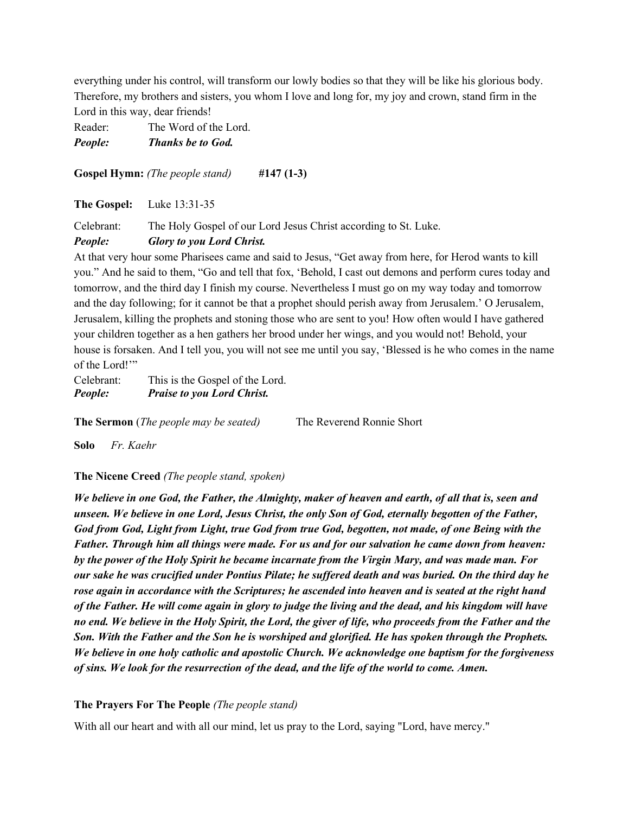everything under his control, will transform our lowly bodies so that they will be like his glorious body. Therefore, my brothers and sisters, you whom I love and long for, my joy and crown, stand firm in the Lord in this way, dear friends!

Reader: The Word of the Lord.

*People: Thanks be to God.*

**Gospel Hymn:** *(The people stand)* **#147 (1-3)**

**The Gospel:** Luke 13:31-35

Celebrant: The Holy Gospel of our Lord Jesus Christ according to St. Luke.

## *People: Glory to you Lord Christ.*

At that very hour some Pharisees came and said to Jesus, "Get away from here, for Herod wants to kill you." And he said to them, "Go and tell that fox, 'Behold, I cast out demons and perform cures today and tomorrow, and the third day I finish my course. Nevertheless I must go on my way today and tomorrow and the day following; for it cannot be that a prophet should perish away from Jerusalem.' O Jerusalem, Jerusalem, killing the prophets and stoning those who are sent to you! How often would I have gathered your children together as a hen gathers her brood under her wings, and you would not! Behold, your house is forsaken. And I tell you, you will not see me until you say, 'Blessed is he who comes in the name of the Lord!'"

Celebrant: This is the Gospel of the Lord. *People: Praise to you Lord Christ.*

**The Sermon** (*The people may be seated)* The Reverend Ronnie Short

**Solo** *Fr. Kaehr*

## **The Nicene Creed** *(The people stand, spoken)*

*We believe in one God, the Father, the Almighty, maker of heaven and earth, of all that is, seen and unseen. We believe in one Lord, Jesus Christ, the only Son of God, eternally begotten of the Father, God from God, Light from Light, true God from true God, begotten, not made, of one Being with the Father. Through him all things were made. For us and for our salvation he came down from heaven: by the power of the Holy Spirit he became incarnate from the Virgin Mary, and was made man. For our sake he was crucified under Pontius Pilate; he suffered death and was buried. On the third day he rose again in accordance with the Scriptures; he ascended into heaven and is seated at the right hand of the Father. He will come again in glory to judge the living and the dead, and his kingdom will have no end. We believe in the Holy Spirit, the Lord, the giver of life, who proceeds from the Father and the Son. With the Father and the Son he is worshiped and glorified. He has spoken through the Prophets. We believe in one holy catholic and apostolic Church. We acknowledge one baptism for the forgiveness of sins. We look for the resurrection of the dead, and the life of the world to come. Amen.*

## **The Prayers For The People** *(The people stand)*

With all our heart and with all our mind, let us pray to the Lord, saying "Lord, have mercy."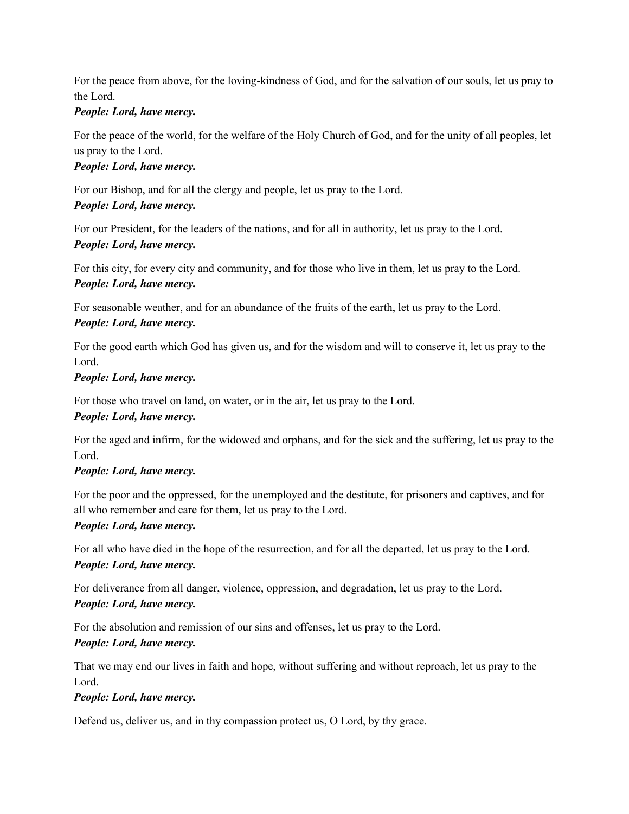For the peace from above, for the loving-kindness of God, and for the salvation of our souls, let us pray to the Lord.

## *People: Lord, have mercy.*

For the peace of the world, for the welfare of the Holy Church of God, and for the unity of all peoples, let us pray to the Lord.

## *People: Lord, have mercy.*

For our Bishop, and for all the clergy and people, let us pray to the Lord.

## *People: Lord, have mercy.*

For our President, for the leaders of the nations, and for all in authority, let us pray to the Lord. *People: Lord, have mercy.*

For this city, for every city and community, and for those who live in them, let us pray to the Lord. *People: Lord, have mercy.*

For seasonable weather, and for an abundance of the fruits of the earth, let us pray to the Lord.

## *People: Lord, have mercy.*

For the good earth which God has given us, and for the wisdom and will to conserve it, let us pray to the Lord.

## *People: Lord, have mercy.*

For those who travel on land, on water, or in the air, let us pray to the Lord. *People: Lord, have mercy.*

For the aged and infirm, for the widowed and orphans, and for the sick and the suffering, let us pray to the Lord.

# *People: Lord, have mercy.*

For the poor and the oppressed, for the unemployed and the destitute, for prisoners and captives, and for all who remember and care for them, let us pray to the Lord.

## *People: Lord, have mercy.*

For all who have died in the hope of the resurrection, and for all the departed, let us pray to the Lord. *People: Lord, have mercy.*

For deliverance from all danger, violence, oppression, and degradation, let us pray to the Lord. *People: Lord, have mercy.*

For the absolution and remission of our sins and offenses, let us pray to the Lord. *People: Lord, have mercy.*

That we may end our lives in faith and hope, without suffering and without reproach, let us pray to the Lord.

## *People: Lord, have mercy.*

Defend us, deliver us, and in thy compassion protect us, O Lord, by thy grace.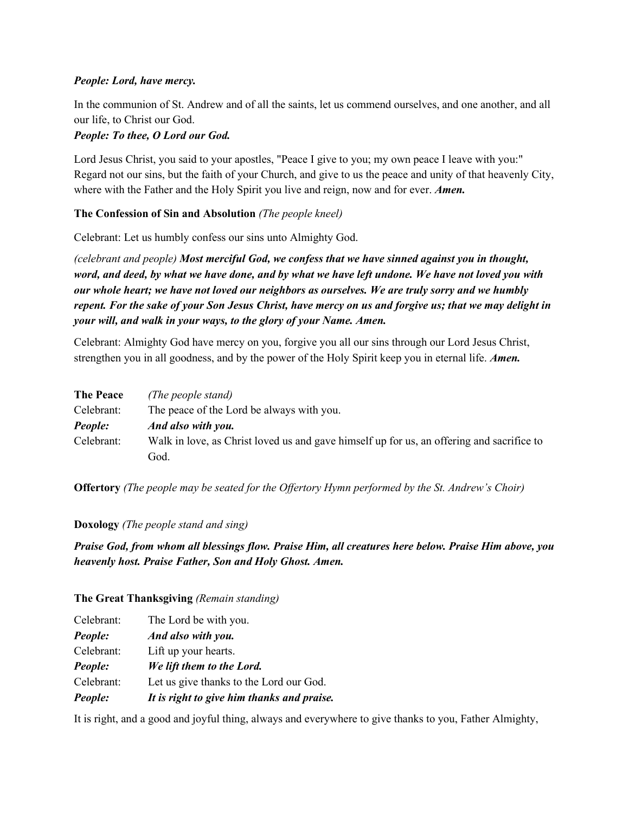### *People: Lord, have mercy.*

In the communion of St. Andrew and of all the saints, let us commend ourselves, and one another, and all our life, to Christ our God.

### *People: To thee, O Lord our God.*

Lord Jesus Christ, you said to your apostles, "Peace I give to you; my own peace I leave with you:" Regard not our sins, but the faith of your Church, and give to us the peace and unity of that heavenly City, where with the Father and the Holy Spirit you live and reign, now and for ever. *Amen.*

## **The Confession of Sin and Absolution** *(The people kneel)*

Celebrant: Let us humbly confess our sins unto Almighty God.

*(celebrant and people) Most merciful God, we confess that we have sinned against you in thought, word, and deed, by what we have done, and by what we have left undone. We have not loved you with our whole heart; we have not loved our neighbors as ourselves. We are truly sorry and we humbly repent. For the sake of your Son Jesus Christ, have mercy on us and forgive us; that we may delight in your will, and walk in your ways, to the glory of your Name. Amen.*

Celebrant: Almighty God have mercy on you, forgive you all our sins through our Lord Jesus Christ, strengthen you in all goodness, and by the power of the Holy Spirit keep you in eternal life. *Amen.*

| <b>The Peace</b> | (The people stand)                                                                        |
|------------------|-------------------------------------------------------------------------------------------|
| Celebrant:       | The peace of the Lord be always with you.                                                 |
| <b>People:</b>   | And also with you.                                                                        |
| Celebrant:       | Walk in love, as Christ loved us and gave himself up for us, an offering and sacrifice to |
|                  | God.                                                                                      |

**Offertory** *(The people may be seated for the Offertory Hymn performed by the St. Andrew's Choir)*

#### **Doxology** *(The people stand and sing)*

*Praise God, from whom all blessings flow. Praise Him, all creatures here below. Praise Him above, you heavenly host. Praise Father, Son and Holy Ghost. Amen.*

#### **The Great Thanksgiving** *(Remain standing)*

| People:    | It is right to give him thanks and praise. |
|------------|--------------------------------------------|
| Celebrant: | Let us give thanks to the Lord our God.    |
| People:    | We lift them to the Lord.                  |
| Celebrant: | Lift up your hearts.                       |
| People:    | And also with you.                         |
| Celebrant: | The Lord be with you.                      |

It is right, and a good and joyful thing, always and everywhere to give thanks to you, Father Almighty,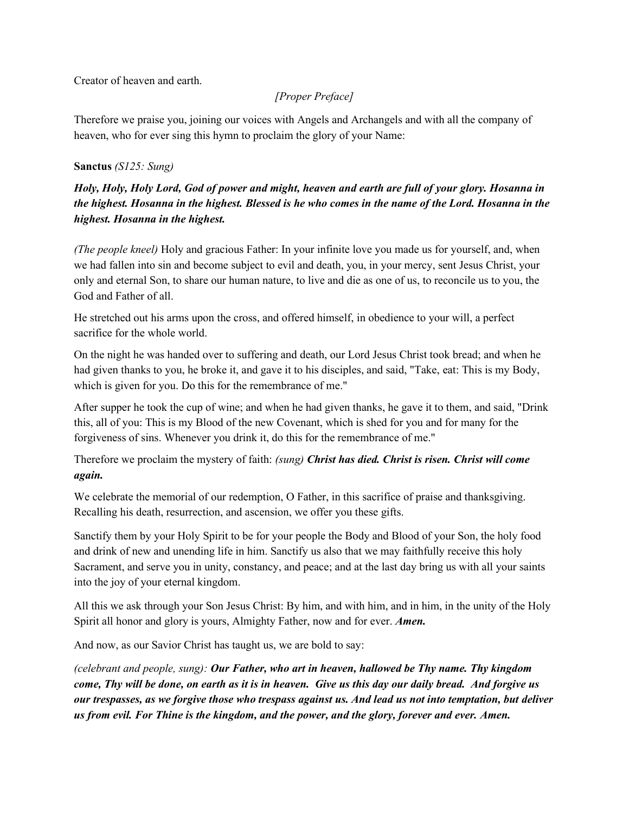Creator of heaven and earth.

## *[Proper Preface]*

Therefore we praise you, joining our voices with Angels and Archangels and with all the company of heaven, who for ever sing this hymn to proclaim the glory of your Name:

## **Sanctus** *(S125: Sung)*

# *Holy, Holy, Holy Lord, God of power and might, heaven and earth are full of your glory. Hosanna in the highest. Hosanna in the highest. Blessed is he who comes in the name of the Lord. Hosanna in the highest. Hosanna in the highest.*

*(The people kneel)* Holy and gracious Father: In your infinite love you made us for yourself, and, when we had fallen into sin and become subject to evil and death, you, in your mercy, sent Jesus Christ, your only and eternal Son, to share our human nature, to live and die as one of us, to reconcile us to you, the God and Father of all.

He stretched out his arms upon the cross, and offered himself, in obedience to your will, a perfect sacrifice for the whole world.

On the night he was handed over to suffering and death, our Lord Jesus Christ took bread; and when he had given thanks to you, he broke it, and gave it to his disciples, and said, "Take, eat: This is my Body, which is given for you. Do this for the remembrance of me."

After supper he took the cup of wine; and when he had given thanks, he gave it to them, and said, "Drink this, all of you: This is my Blood of the new Covenant, which is shed for you and for many for the forgiveness of sins. Whenever you drink it, do this for the remembrance of me."

Therefore we proclaim the mystery of faith: *(sung) Christ has died. Christ is risen. Christ will come again.*

We celebrate the memorial of our redemption, O Father, in this sacrifice of praise and thanksgiving. Recalling his death, resurrection, and ascension, we offer you these gifts.

Sanctify them by your Holy Spirit to be for your people the Body and Blood of your Son, the holy food and drink of new and unending life in him. Sanctify us also that we may faithfully receive this holy Sacrament, and serve you in unity, constancy, and peace; and at the last day bring us with all your saints into the joy of your eternal kingdom.

All this we ask through your Son Jesus Christ: By him, and with him, and in him, in the unity of the Holy Spirit all honor and glory is yours, Almighty Father, now and for ever. *Amen.*

And now, as our Savior Christ has taught us, we are bold to say:

*(celebrant and people, sung): Our Father, who art in heaven, hallowed be Thy name. Thy kingdom come, Thy will be done, on earth as it is in heaven. Give us this day our daily bread. And forgive us our trespasses, as we forgive those who trespass against us. And lead us not into temptation, but deliver us from evil. For Thine is the kingdom, and the power, and the glory, forever and ever. Amen.*